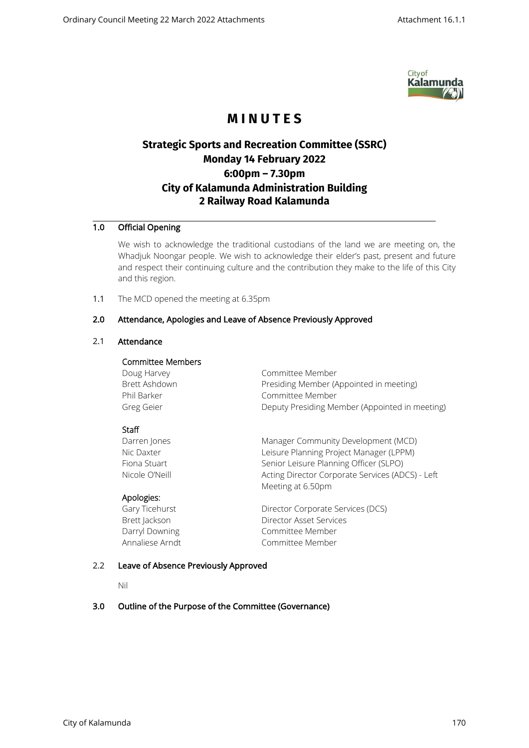

# **M I N U T E S**

# **Strategic Sports and Recreation Committee (SSRC) Monday 14 February 2022 6:00pm – 7.30pm City of Kalamunda Administration Building 2 Railway Road Kalamunda**

# 1.0 Official Opening

We wish to acknowledge the traditional custodians of the land we are meeting on, the Whadjuk Noongar people. We wish to acknowledge their elder's past, present and future and respect their continuing culture and the contribution they make to the life of this City and this region.

1.1 The MCD opened the meeting at 6.35pm

# 2.0 Attendance, Apologies and Leave of Absence Previously Approved

# 2.1 Attendance

## Committee Members

| Doug Harvey   | Committee Member                               |
|---------------|------------------------------------------------|
| Brett Ashdown | Presiding Member (Appointed in meeting)        |
| Phil Barker   | Committee Member                               |
| Greg Geier    | Deputy Presiding Member (Appointed in meeting) |

# **Staff**

Darren Jones **Manager Community Development (MCD)** Nic Daxter **Leisure Planning Project Manager (LPPM)** Fiona Stuart Senior Leisure Planning Officer (SLPO) Nicole O'Neill Acting Director Corporate Services (ADCS) - Left Meeting at 6.50pm

# Apologies:

Gary Ticehurst **Director Corporate Services (DCS)** Brett Jackson Director Asset Services Darryl Downing **Committee Member** Annaliese Arndt Committee Member

# 2.2 Leave of Absence Previously Approved

Nil

# 3.0 Outline of the Purpose of the Committee (Governance)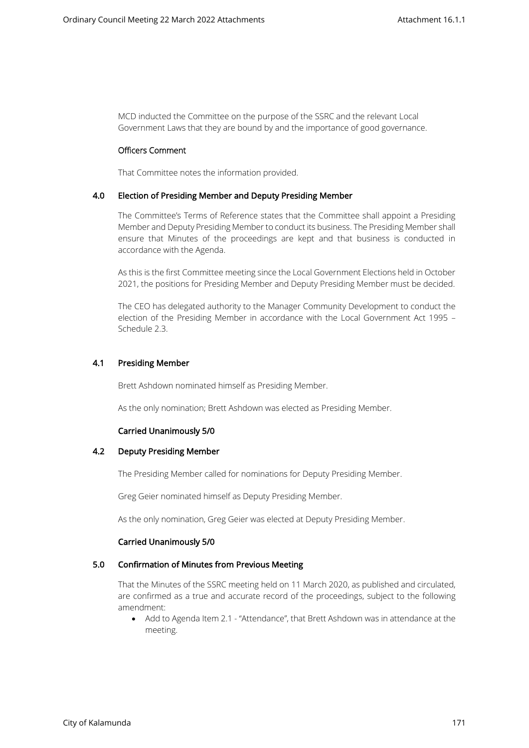MCD inducted the Committee on the purpose of the SSRC and the relevant Local Government Laws that they are bound by and the importance of good governance.

# Officers Comment

That Committee notes the information provided.

#### 4.0 Election of Presiding Member and Deputy Presiding Member

The Committee's Terms of Reference states that the Committee shall appoint a Presiding Member and Deputy Presiding Member to conduct its business. The Presiding Member shall ensure that Minutes of the proceedings are kept and that business is conducted in accordance with the Agenda.

As this is the first Committee meeting since the Local Government Elections held in October 2021, the positions for Presiding Member and Deputy Presiding Member must be decided.

The CEO has delegated authority to the Manager Community Development to conduct the election of the Presiding Member in accordance with the Local Government Act 1995 – Schedule 2.3.

## 4.1 Presiding Member

Brett Ashdown nominated himself as Presiding Member.

As the only nomination; Brett Ashdown was elected as Presiding Member.

# Carried Unanimously 5/0

## 4.2 Deputy Presiding Member

The Presiding Member called for nominations for Deputy Presiding Member.

Greg Geier nominated himself as Deputy Presiding Member.

As the only nomination, Greg Geier was elected at Deputy Presiding Member.

#### Carried Unanimously 5/0

#### 5.0 Confirmation of Minutes from Previous Meeting

That the Minutes of the SSRC meeting held on 11 March 2020, as published and circulated, are confirmed as a true and accurate record of the proceedings, subject to the following amendment:

• Add to Agenda Item 2.1 - "Attendance", that Brett Ashdown was in attendance at the meeting.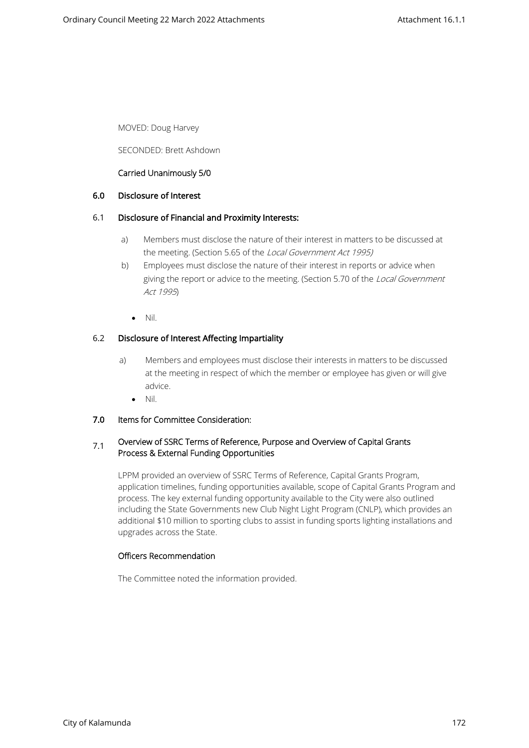MOVED: Doug Harvey

SECONDED: Brett Ashdown

# Carried Unanimously 5/0

# 6.0 Disclosure of Interest

# 6.1 Disclosure of Financial and Proximity Interests:

- a) Members must disclose the nature of their interest in matters to be discussed at the meeting. (Section 5.65 of the Local Government Act 1995)
- b) Employees must disclose the nature of their interest in reports or advice when giving the report or advice to the meeting. (Section 5.70 of the Local Government Act 1995)
	- Nil.

# 6.2 Disclosure of Interest Affecting Impartiality

- a) Members and employees must disclose their interests in matters to be discussed at the meeting in respect of which the member or employee has given or will give advice.
	- Nil.

# 7.0 Items for Committee Consideration:

# $7.1$  Overview of SSRC Terms of Reference, Purpose and Overview of Capital Grants Process & External Funding Opportunities

LPPM provided an overview of SSRC Terms of Reference, Capital Grants Program, application timelines, funding opportunities available, scope of Capital Grants Program and process. The key external funding opportunity available to the City were also outlined including the State Governments new Club Night Light Program (CNLP), which provides an additional \$10 million to sporting clubs to assist in funding sports lighting installations and upgrades across the State.

# Officers Recommendation

The Committee noted the information provided.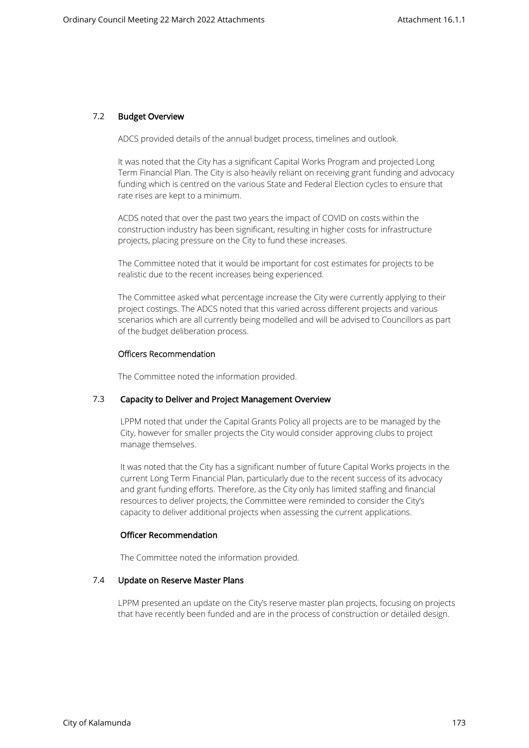# 7.2 Budget Overview

ADCS provided details of the annual budget process, timelines and outlook.

It was noted that the City has a significant Capital Works Program and projected Long Term Financial Plan. The City is also heavily reliant on receiving grant funding and advocacy funding which is centred on the various State and Federal Election cycles to ensure that rate rises are kept to a minimum.

ACDS noted that over the past two years the impact of COVID on costs within the construction industry has been significant, resulting in higher costs for infrastructure projects, placing pressure on the City to fund these increases.

The Committee noted that it would be important for cost estimates for projects to be realistic due to the recent increases being experienced.

The Committee asked what percentage increase the City were currently applying to their project costings. The ADCS noted that this varied across different projects and various scenarios which are all currently being modelled and will be advised to Councillors as part of the budget deliberation process.

# Officers Recommendation

The Committee noted the information provided.

# 7.3 Capacity to Deliver and Project Management Overview

LPPM noted that under the Capital Grants Policy all projects are to be managed by the City, however for smaller projects the City would consider approving clubs to project manage themselves.

It was noted that the City has a significant number of future Capital Works projects in the current Long Term Financial Plan, particularly due to the recent success of its advocacy and grant funding efforts. Therefore, as the City only has limited staffing and financial resources to deliver projects, the Committee were reminded to consider the City's capacity to deliver additional projects when assessing the current applications.

# Officer Recommendation

The Committee noted the information provided.

# 7.4 Update on Reserve Master Plans

LPPM presented an update on the City's reserve master plan projects, focusing on projects that have recently been funded and are in the process of construction or detailed design.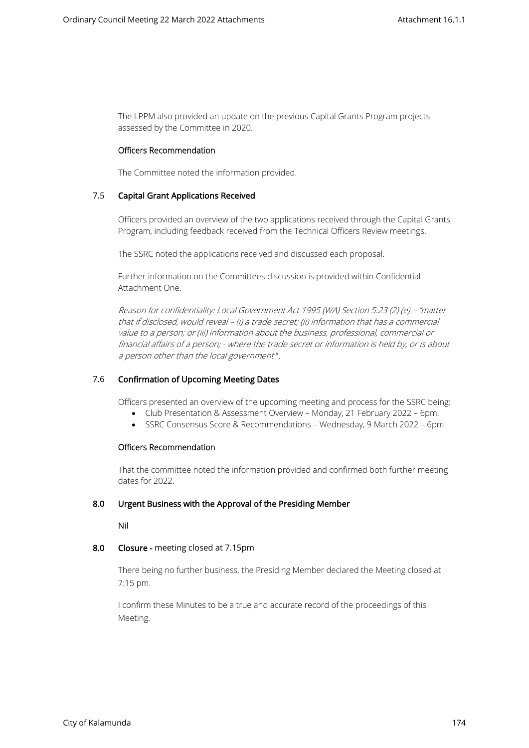The LPPM also provided an update on the previous Capital Grants Program projects assessed by the Committee in 2020.

## Officers Recommendation

The Committee noted the information provided.

# 7.5 Capital Grant Applications Received

Officers provided an overview of the two applications received through the Capital Grants Program, including feedback received from the Technical Officers Review meetings.

The SSRC noted the applications received and discussed each proposal.

Further information on the Committees discussion is provided within Confidential Attachment One.

Reason for confidentiality: Local Government Act 1995 (WA) Section 5.23 (2) (e) – "matter that if disclosed, would reveal – (i) a trade secret; (ii) information that has a commercial value to a person; or (iii) information about the business, professional, commercial or financial affairs of a person; - where the trade secret or information is held by, or is about a person other than the local government ".

# 7.6 Confirmation of Upcoming Meeting Dates

Officers presented an overview of the upcoming meeting and process for the SSRC being:

- Club Presentation & Assessment Overview Monday, 21 February 2022 6pm.
- SSRC Consensus Score & Recommendations Wednesday, 9 March 2022 6pm.

#### Officers Recommendation

That the committee noted the information provided and confirmed both further meeting dates for 2022.

#### 8.0 Urgent Business with the Approval of the Presiding Member

Nil

# 8.0 Closure - meeting closed at 7.15pm

There being no further business, the Presiding Member declared the Meeting closed at 7:15 pm.

I confirm these Minutes to be a true and accurate record of the proceedings of this Meeting.